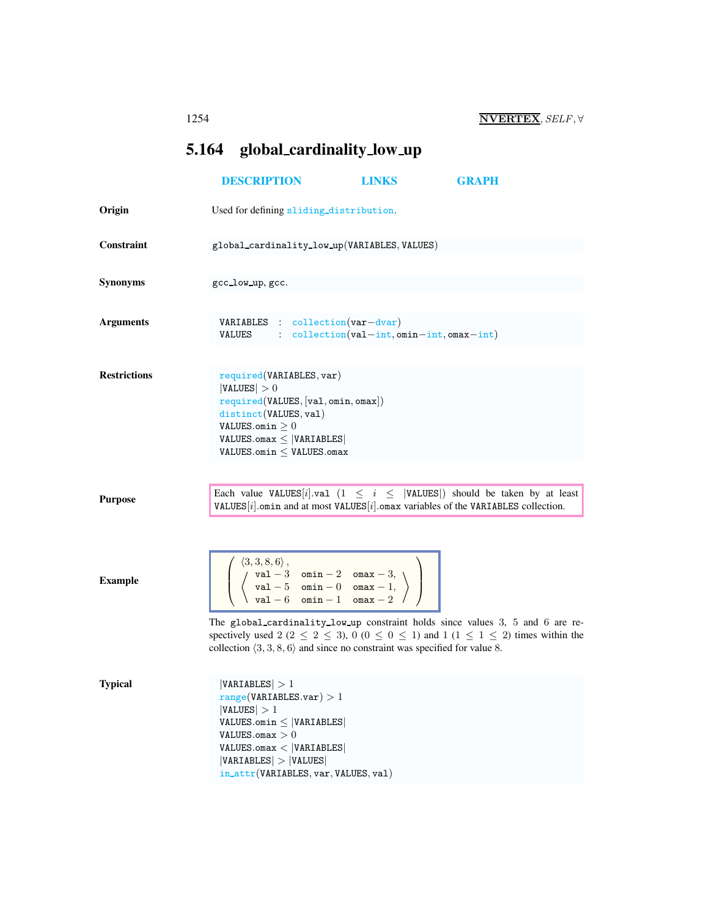## <span id="page-0-1"></span><span id="page-0-0"></span>5.164 global cardinality low up

|                     | <b>DESCRIPTION</b>                                                                                                                                                                                                                                                                                                      | <b>LINKS</b>                                | <b>GRAPH</b>                                                                                                                                                                                    |
|---------------------|-------------------------------------------------------------------------------------------------------------------------------------------------------------------------------------------------------------------------------------------------------------------------------------------------------------------------|---------------------------------------------|-------------------------------------------------------------------------------------------------------------------------------------------------------------------------------------------------|
| Origin              | Used for defining sliding_distribution.                                                                                                                                                                                                                                                                                 |                                             |                                                                                                                                                                                                 |
| Constraint          | global_cardinality_low_up(VARIABLES, VALUES)                                                                                                                                                                                                                                                                            |                                             |                                                                                                                                                                                                 |
| <b>Synonyms</b>     | gcc_low_up, gcc.                                                                                                                                                                                                                                                                                                        |                                             |                                                                                                                                                                                                 |
| <b>Arguments</b>    | $VARIABLES : collection(var-dvar)$<br>VALUES                                                                                                                                                                                                                                                                            | $:$ collection(val-int, omin-int, omax-int) |                                                                                                                                                                                                 |
| <b>Restrictions</b> | required(VARIABLES, var)<br> VALUES  > 0<br>required(VALUES, [val, omin, omax])<br>distinct(VALUES, val)<br>VALUES.omin $\geq 0$<br>$VALUES.$ omax $\leq$  VARIABLES <br>$VALUES.$ omin $\leq$ VALUES.omax                                                                                                              |                                             |                                                                                                                                                                                                 |
| <b>Purpose</b>      |                                                                                                                                                                                                                                                                                                                         |                                             | Each value VALUES  i , val (1 $\leq i \leq$  VALUES ) should be taken by at least<br>VALUES $[i]$ omin and at most VALUES $[i]$ omax variables of the VARIABLES collection.                     |
| <b>Example</b>      | $\left[\begin{array}{c} \langle 3,3,8,6\rangle\,,\ \langle\ {\rm val}-3\atop \langle\ {\rm val}-5\atop {\rm val}-6\atop \ {\rm min}-1\atop \mbox{\rm min}\, -1\  \  \, {\rm max}-2\  \  \, \end{array}\right)\;\;\right]$<br>collection $\langle 3, 3, 8, 6 \rangle$ and since no constraint was specified for value 8. |                                             | The global_cardinality_low_up constraint holds since values 3, 5 and 6 are re-<br>spectively used 2 (2 $\leq$ 2 $\leq$ 3), 0 (0 $\leq$ 0 $\leq$ 1) and 1 (1 $\leq$ 1 $\leq$ 2) times within the |
| <b>Typical</b>      | VARIABLES  > 1<br>range(VARIABLES.var) > 1<br> VALUES  > 1<br>VALUES.omin $\leq$  VARIABLES <br>VALUES.omax $>0$<br>$VALUES.$ omax < $ VARIABLES $<br> VARIABLES  >  VALUES <br>in_attr(VARIABLES, var, VALUES, val)                                                                                                    |                                             |                                                                                                                                                                                                 |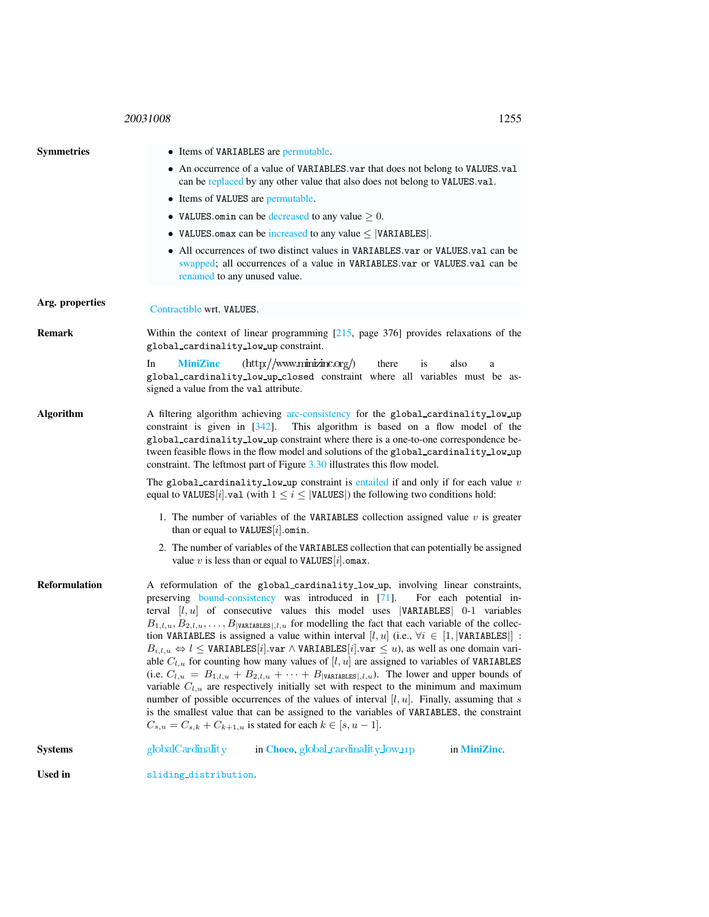## <sup>20031008</sup> 1255

<span id="page-1-0"></span>

| <b>Symmetries</b>    | • Items of VARIABLES are permutable.<br>• An occurrence of a value of VARIABLES var that does not belong to VALUES val<br>can be replaced by any other value that also does not belong to VALUES.val.<br>• Items of VALUES are permutable.<br>• VALUES omin can be decreased to any value $\geq 0$ .                                                                                                                                                                                                                                                                                                                                                                                                                                                                                                                                                                                                                                                                                                                                                                                                                                                                                                                                |  |  |
|----------------------|-------------------------------------------------------------------------------------------------------------------------------------------------------------------------------------------------------------------------------------------------------------------------------------------------------------------------------------------------------------------------------------------------------------------------------------------------------------------------------------------------------------------------------------------------------------------------------------------------------------------------------------------------------------------------------------------------------------------------------------------------------------------------------------------------------------------------------------------------------------------------------------------------------------------------------------------------------------------------------------------------------------------------------------------------------------------------------------------------------------------------------------------------------------------------------------------------------------------------------------|--|--|
|                      | • VALUES omax can be increased to any value $\leq$  VARIABLES .                                                                                                                                                                                                                                                                                                                                                                                                                                                                                                                                                                                                                                                                                                                                                                                                                                                                                                                                                                                                                                                                                                                                                                     |  |  |
|                      | • All occurrences of two distinct values in VARIABLES.var or VALUES.val can be<br>swapped; all occurrences of a value in VARIABLES.var or VALUES.val can be<br>renamed to any unused value.                                                                                                                                                                                                                                                                                                                                                                                                                                                                                                                                                                                                                                                                                                                                                                                                                                                                                                                                                                                                                                         |  |  |
| Arg. properties      | Contractible wrt. VALUES.                                                                                                                                                                                                                                                                                                                                                                                                                                                                                                                                                                                                                                                                                                                                                                                                                                                                                                                                                                                                                                                                                                                                                                                                           |  |  |
| <b>Remark</b>        | Within the context of linear programming $[215, \text{ page } 376]$ provides relaxations of the<br>global_cardinality_low_up constraint.                                                                                                                                                                                                                                                                                                                                                                                                                                                                                                                                                                                                                                                                                                                                                                                                                                                                                                                                                                                                                                                                                            |  |  |
|                      | $(\text{http://www.minizinc.org/})$<br><b>MiniZinc</b><br>In<br>there<br><i>is</i><br>also<br>a<br>global_cardinality_low_up_closed constraint where all variables must be as-<br>signed a value from the val attribute.                                                                                                                                                                                                                                                                                                                                                                                                                                                                                                                                                                                                                                                                                                                                                                                                                                                                                                                                                                                                            |  |  |
| <b>Algorithm</b>     | A filtering algorithm achieving arc-consistency for the global_cardinality_low_up<br>constraint is given in $[342]$ .<br>This algorithm is based on a flow model of the<br>global_cardinality_low_up constraint where there is a one-to-one correspondence be-<br>tween feasible flows in the flow model and solutions of the global_cardinality_low_up<br>constraint. The leftmost part of Figure $3.30$ illustrates this flow model.                                                                                                                                                                                                                                                                                                                                                                                                                                                                                                                                                                                                                                                                                                                                                                                              |  |  |
|                      | The global cardinality low up constraint is entailed if and only if for each value $v$<br>equal to VALUES [i].val (with $1 \le i \le$  VALUES ) the following two conditions hold:                                                                                                                                                                                                                                                                                                                                                                                                                                                                                                                                                                                                                                                                                                                                                                                                                                                                                                                                                                                                                                                  |  |  |
|                      | 1. The number of variables of the VARIABLES collection assigned value $v$ is greater<br>than or equal to VALUES[ $i$ ]. omin.                                                                                                                                                                                                                                                                                                                                                                                                                                                                                                                                                                                                                                                                                                                                                                                                                                                                                                                                                                                                                                                                                                       |  |  |
|                      | 2. The number of variables of the VARIABLES collection that can potentially be assigned<br>value $v$ is less than or equal to VALUES [i]. omax.                                                                                                                                                                                                                                                                                                                                                                                                                                                                                                                                                                                                                                                                                                                                                                                                                                                                                                                                                                                                                                                                                     |  |  |
| <b>Reformulation</b> | A reformulation of the global_cardinality_low_up, involving linear constraints,<br>preserving bound-consistency was introduced in [71]. For each potential in-<br>terval $[l, u]$ of consecutive values this model uses  VARIABLES  0-1 variables<br>$B_{1,l,u}, B_{2,l,u}, \ldots, B_{ \text{VARIABLES} ,l,u}$ for modelling the fact that each variable of the collec-<br>tion VARIABLES is assigned a value within interval [l, u] (i.e., $\forall i \in [1,  \text{VARIABLES} ]$ :<br>$B_{i,l,u} \Leftrightarrow l \leq \texttt{VARIABLES}[i].\texttt{var} \wedge \texttt{VARIABLES}[i].\texttt{var} \leq u)$ , as well as one domain vari-<br>able $C_{l,u}$ for counting how many values of [l, u] are assigned to variables of VARIABLES<br>(i.e. $C_{l,u} = B_{1,l,u} + B_{2,l,u} + \cdots + B_{ \text{VARIABLES} ,l,u}$ ). The lower and upper bounds of<br>variable $C_{l,u}$ are respectively initially set with respect to the minimum and maximum<br>number of possible occurrences of the values of interval $[l, u]$ . Finally, assuming that s<br>is the smallest value that can be assigned to the variables of VARIABLES, the constraint<br>$C_{s,u} = C_{s,k} + C_{k+1,u}$ is stated for each $k \in [s, u-1]$ . |  |  |
| <b>Systems</b>       | globalCardinality<br>in Choco, global_cardinality_low_up<br>in MiniZinc.                                                                                                                                                                                                                                                                                                                                                                                                                                                                                                                                                                                                                                                                                                                                                                                                                                                                                                                                                                                                                                                                                                                                                            |  |  |
| <b>Used in</b>       | sliding_distribution.                                                                                                                                                                                                                                                                                                                                                                                                                                                                                                                                                                                                                                                                                                                                                                                                                                                                                                                                                                                                                                                                                                                                                                                                               |  |  |
|                      |                                                                                                                                                                                                                                                                                                                                                                                                                                                                                                                                                                                                                                                                                                                                                                                                                                                                                                                                                                                                                                                                                                                                                                                                                                     |  |  |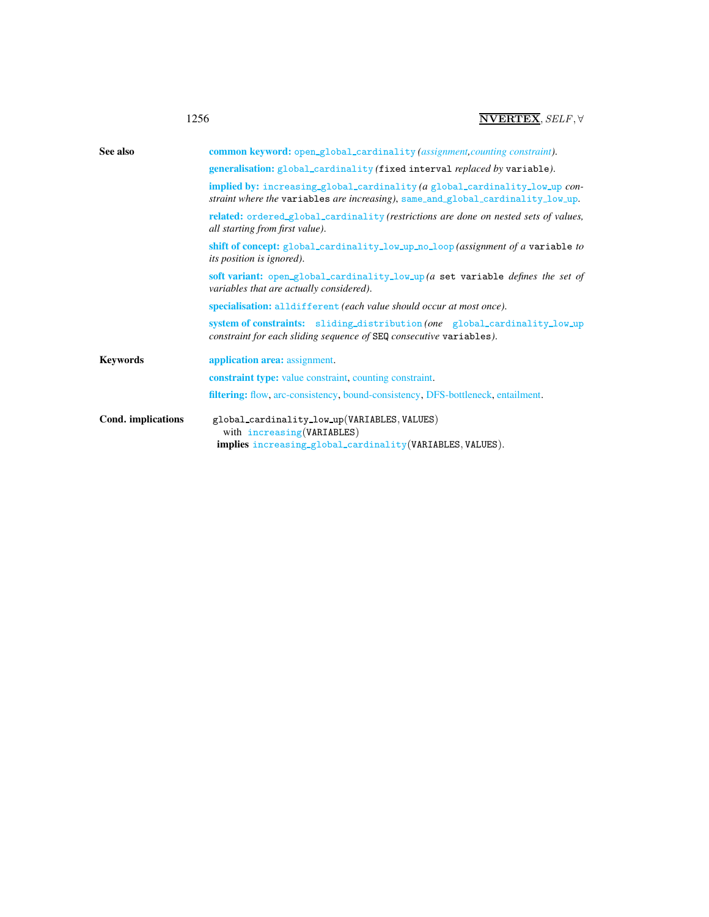| See also           | common keyword: open_global_cardinality (assignment, counting constraint).                                                                                             |
|--------------------|------------------------------------------------------------------------------------------------------------------------------------------------------------------------|
|                    | generalisation: global_cardinality (fixed interval replaced by variable).                                                                                              |
|                    | <b>implied by:</b> increasing_global_cardinality (a global_cardinality_low_up con-<br>straint where the variables are increasing), same_and_global_cardinality_low_up. |
|                    | related: ordered_global_cardinality (restrictions are done on nested sets of values,<br>all starting from first value).                                                |
|                    | shift of concept: global_cardinality_low_up_no_loop (assignment of a variable to<br><i>its position is ignored</i> ).                                                  |
|                    | soft variant: open_global_cardinality_low_up (a set variable defines the set of<br>variables that are actually considered).                                            |
|                    | specialisation: alldifferent (each value should occur at most once).                                                                                                   |
|                    | system of constraints: sliding_distribution (one global_cardinality_low_up<br>constraint for each sliding sequence of SEQ consecutive variables).                      |
| <b>Keywords</b>    | <b>application area:</b> assignment.                                                                                                                                   |
|                    | <b>constraint type:</b> value constraint, counting constraint.                                                                                                         |
|                    | <b>filtering:</b> flow, arc-consistency, bound-consistency, DFS-bottleneck, entailment.                                                                                |
| Cond. implications | global_cardinality_low_up(VARIABLES, VALUES)<br>with increasing (VARIABLES)                                                                                            |
|                    | implies increasing_global_cardinality(VARIABLES, VALUES).                                                                                                              |